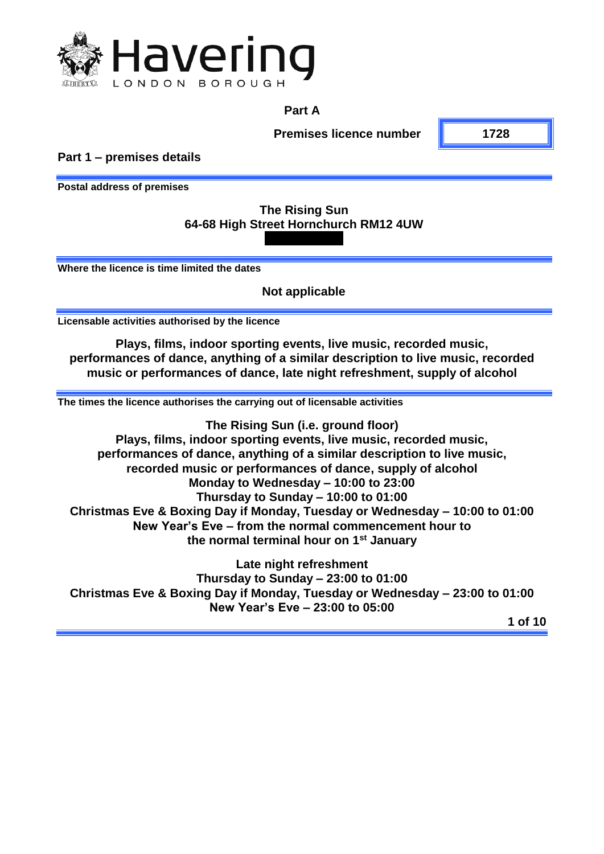

## **Part A**

**Premises licence number 1728**

**Part 1 – premises details**

**Postal address of premises**

## **The Rising Sun 64-68 High Street Hornchurch RM12 4UW**

**Where the licence is time limited the dates**

**Not applicable**

**Licensable activities authorised by the licence**

**Plays, films, indoor sporting events, live music, recorded music, performances of dance, anything of a similar description to live music, recorded music or performances of dance, late night refreshment, supply of alcohol**

**The times the licence authorises the carrying out of licensable activities**

**The Rising Sun (i.e. ground floor) Plays, films, indoor sporting events, live music, recorded music, performances of dance, anything of a similar description to live music, recorded music or performances of dance, supply of alcohol Monday to Wednesday – 10:00 to 23:00 Thursday to Sunday – 10:00 to 01:00 Christmas Eve & Boxing Day if Monday, Tuesday or Wednesday – 10:00 to 01:00 New Year's Eve – from the normal commencement hour to the normal terminal hour on 1st January** 

**Late night refreshment Thursday to Sunday – 23:00 to 01:00 Christmas Eve & Boxing Day if Monday, Tuesday or Wednesday – 23:00 to 01:00 New Year's Eve – 23:00 to 05:00**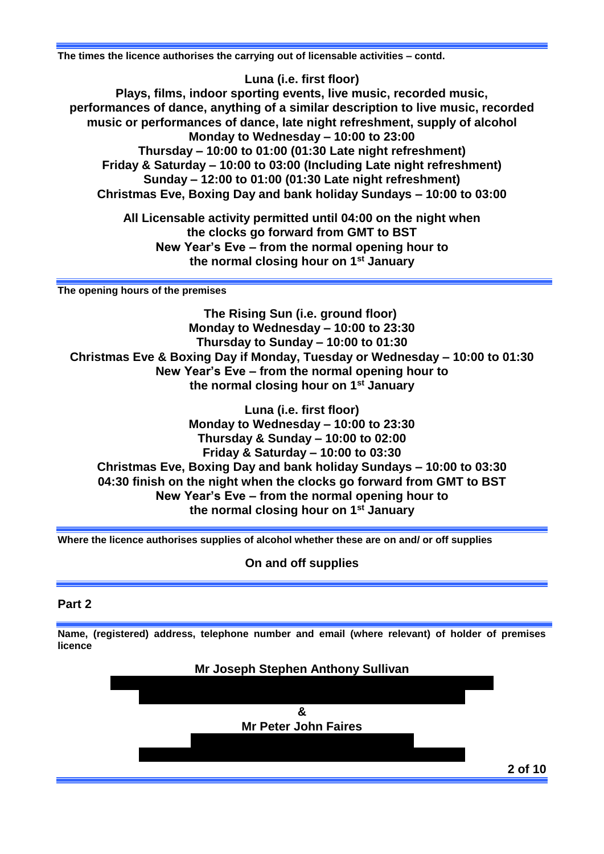**The times the licence authorises the carrying out of licensable activities – contd.**

**Luna (i.e. first floor) Plays, films, indoor sporting events, live music, recorded music, performances of dance, anything of a similar description to live music, recorded music or performances of dance, late night refreshment, supply of alcohol Monday to Wednesday – 10:00 to 23:00 Thursday – 10:00 to 01:00 (01:30 Late night refreshment) Friday & Saturday – 10:00 to 03:00 (Including Late night refreshment) Sunday – 12:00 to 01:00 (01:30 Late night refreshment) Christmas Eve, Boxing Day and bank holiday Sundays – 10:00 to 03:00**

> **All Licensable activity permitted until 04:00 on the night when the clocks go forward from GMT to BST New Year's Eve – from the normal opening hour to the normal closing hour on 1st January**

**The opening hours of the premises**

**The Rising Sun (i.e. ground floor) Monday to Wednesday – 10:00 to 23:30 Thursday to Sunday – 10:00 to 01:30 Christmas Eve & Boxing Day if Monday, Tuesday or Wednesday – 10:00 to 01:30 New Year's Eve – from the normal opening hour to the normal closing hour on 1st January**

**Luna (i.e. first floor) Monday to Wednesday – 10:00 to 23:30 Thursday & Sunday – 10:00 to 02:00 Friday & Saturday – 10:00 to 03:30 Christmas Eve, Boxing Day and bank holiday Sundays – 10:00 to 03:30 04:30 finish on the night when the clocks go forward from GMT to BST New Year's Eve – from the normal opening hour to the normal closing hour on 1st January**

**Where the licence authorises supplies of alcohol whether these are on and/ or off supplies**

**On and off supplies**

#### **Part 2**

**Name, (registered) address, telephone number and email (where relevant) of holder of premises licence**

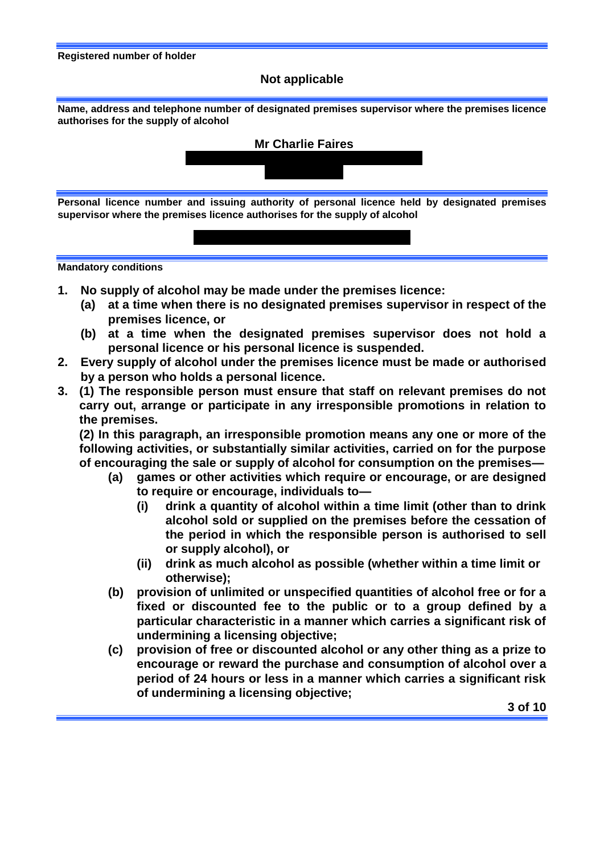#### **Registered number of holder**

#### **Not applicable**

**Name, address and telephone number of designated premises supervisor where the premises licence authorises for the supply of alcohol**



**20942 – London Borough of Havering**



- **1. No supply of alcohol may be made under the premises licence:** 
	- **(a) at a time when there is no designated premises supervisor in respect of the premises licence, or**
	- **(b) at a time when the designated premises supervisor does not hold a personal licence or his personal licence is suspended.**
- **2. Every supply of alcohol under the premises licence must be made or authorised by a person who holds a personal licence.**
- **3. (1) The responsible person must ensure that staff on relevant premises do not carry out, arrange or participate in any irresponsible promotions in relation to the premises.**

**(2) In this paragraph, an irresponsible promotion means any one or more of the following activities, or substantially similar activities, carried on for the purpose of encouraging the sale or supply of alcohol for consumption on the premises—**

- **(a) games or other activities which require or encourage, or are designed to require or encourage, individuals to—**
	- **(i) drink a quantity of alcohol within a time limit (other than to drink alcohol sold or supplied on the premises before the cessation of the period in which the responsible person is authorised to sell or supply alcohol), or**
	- **(ii) drink as much alcohol as possible (whether within a time limit or otherwise);**
- **(b) provision of unlimited or unspecified quantities of alcohol free or for a fixed or discounted fee to the public or to a group defined by a particular characteristic in a manner which carries a significant risk of undermining a licensing objective;**
- **(c) provision of free or discounted alcohol or any other thing as a prize to encourage or reward the purchase and consumption of alcohol over a period of 24 hours or less in a manner which carries a significant risk of undermining a licensing objective;**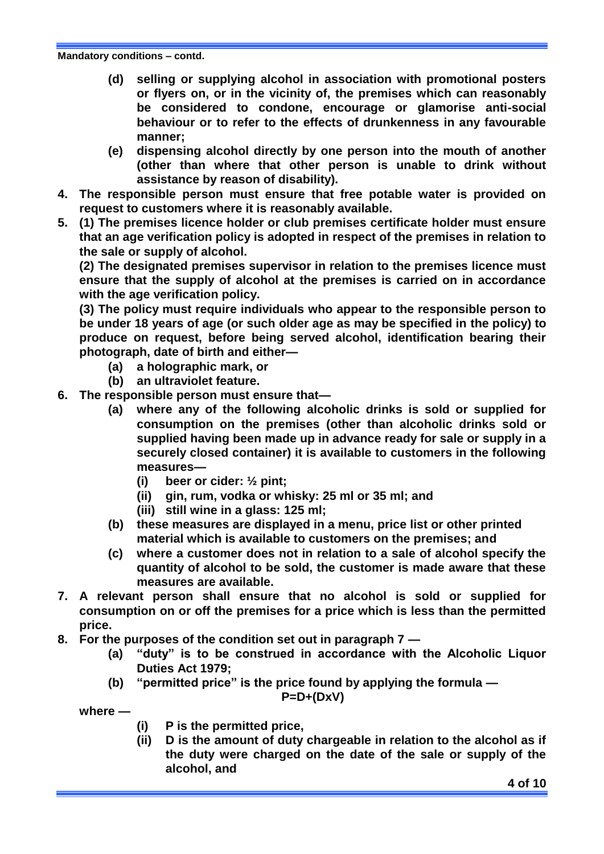- **(d) selling or supplying alcohol in association with promotional posters or flyers on, or in the vicinity of, the premises which can reasonably be considered to condone, encourage or glamorise anti-social behaviour or to refer to the effects of drunkenness in any favourable manner;**
- **(e) dispensing alcohol directly by one person into the mouth of another (other than where that other person is unable to drink without assistance by reason of disability).**
- **4. The responsible person must ensure that free potable water is provided on request to customers where it is reasonably available.**
- **5. (1) The premises licence holder or club premises certificate holder must ensure that an age verification policy is adopted in respect of the premises in relation to the sale or supply of alcohol.**

**(2) The designated premises supervisor in relation to the premises licence must ensure that the supply of alcohol at the premises is carried on in accordance with the age verification policy.**

**(3) The policy must require individuals who appear to the responsible person to be under 18 years of age (or such older age as may be specified in the policy) to produce on request, before being served alcohol, identification bearing their photograph, date of birth and either—**

- **(a) a holographic mark, or**
- **(b) an ultraviolet feature.**
- **6. The responsible person must ensure that—**
	- **(a) where any of the following alcoholic drinks is sold or supplied for consumption on the premises (other than alcoholic drinks sold or supplied having been made up in advance ready for sale or supply in a securely closed container) it is available to customers in the following measures—**
		- **(i) beer or cider: ½ pint;**
		- **(ii) gin, rum, vodka or whisky: 25 ml or 35 ml; and**
		- **(iii) still wine in a glass: 125 ml;**
	- **(b) these measures are displayed in a menu, price list or other printed material which is available to customers on the premises; and**
	- **(c) where a customer does not in relation to a sale of alcohol specify the quantity of alcohol to be sold, the customer is made aware that these measures are available.**
- **7. A relevant person shall ensure that no alcohol is sold or supplied for consumption on or off the premises for a price which is less than the permitted price.**
- **8. For the purposes of the condition set out in paragraph 7 —**
	- **(a) "duty" is to be construed in accordance with the Alcoholic Liquor Duties Act 1979;**
	- **(b) "permitted price" is the price found by applying the formula —**

$$
P = D + (D \times V)
$$

**where —**

- **(i) P is the permitted price,**
- **(ii) D is the amount of duty chargeable in relation to the alcohol as if the duty were charged on the date of the sale or supply of the alcohol, and**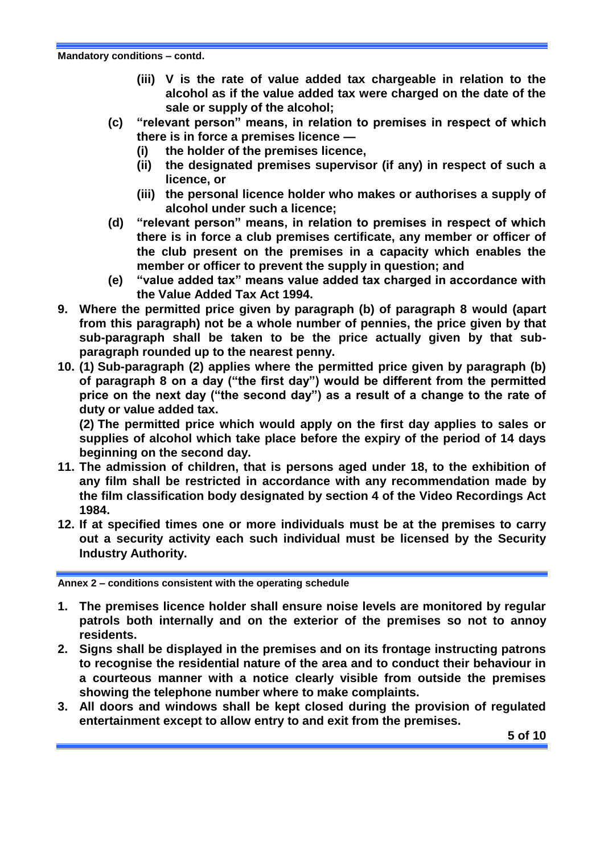**Mandatory conditions – contd.**

- **(iii) V is the rate of value added tax chargeable in relation to the alcohol as if the value added tax were charged on the date of the sale or supply of the alcohol;**
- **(c) "relevant person" means, in relation to premises in respect of which there is in force a premises licence —**
	- **(i) the holder of the premises licence,**
	- **(ii) the designated premises supervisor (if any) in respect of such a licence, or**
	- **(iii) the personal licence holder who makes or authorises a supply of alcohol under such a licence;**
- **(d) "relevant person" means, in relation to premises in respect of which there is in force a club premises certificate, any member or officer of the club present on the premises in a capacity which enables the member or officer to prevent the supply in question; and**
- **(e) "value added tax" means value added tax charged in accordance with the Value Added Tax Act 1994.**
- **9. Where the permitted price given by paragraph (b) of paragraph 8 would (apart from this paragraph) not be a whole number of pennies, the price given by that sub-paragraph shall be taken to be the price actually given by that subparagraph rounded up to the nearest penny.**
- **10. (1) Sub-paragraph (2) applies where the permitted price given by paragraph (b) of paragraph 8 on a day ("the first day") would be different from the permitted price on the next day ("the second day") as a result of a change to the rate of duty or value added tax.**

**(2) The permitted price which would apply on the first day applies to sales or supplies of alcohol which take place before the expiry of the period of 14 days beginning on the second day.**

- **11. The admission of children, that is persons aged under 18, to the exhibition of any film shall be restricted in accordance with any recommendation made by the film classification body designated by section 4 of the Video Recordings Act 1984.**
- **12. If at specified times one or more individuals must be at the premises to carry out a security activity each such individual must be licensed by the Security Industry Authority.**

**Annex 2 – conditions consistent with the operating schedule**

- **1. The premises licence holder shall ensure noise levels are monitored by regular patrols both internally and on the exterior of the premises so not to annoy residents.**
- **2. Signs shall be displayed in the premises and on its frontage instructing patrons to recognise the residential nature of the area and to conduct their behaviour in a courteous manner with a notice clearly visible from outside the premises showing the telephone number where to make complaints.**
- **3. All doors and windows shall be kept closed during the provision of regulated entertainment except to allow entry to and exit from the premises.**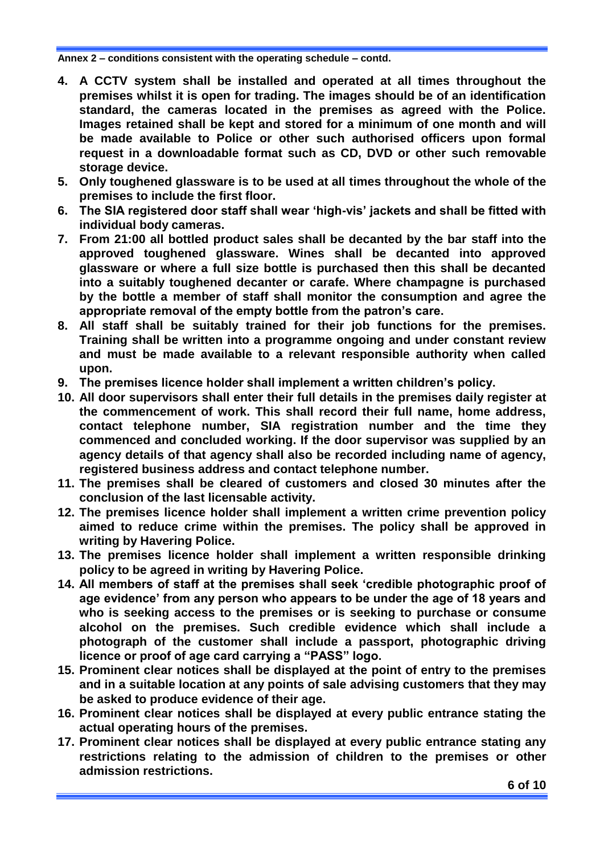- **4. A CCTV system shall be installed and operated at all times throughout the premises whilst it is open for trading. The images should be of an identification standard, the cameras located in the premises as agreed with the Police. Images retained shall be kept and stored for a minimum of one month and will be made available to Police or other such authorised officers upon formal request in a downloadable format such as CD, DVD or other such removable storage device.**
- **5. Only toughened glassware is to be used at all times throughout the whole of the premises to include the first floor.**
- **6. The SIA registered door staff shall wear 'high-vis' jackets and shall be fitted with individual body cameras.**
- **7. From 21:00 all bottled product sales shall be decanted by the bar staff into the approved toughened glassware. Wines shall be decanted into approved glassware or where a full size bottle is purchased then this shall be decanted into a suitably toughened decanter or carafe. Where champagne is purchased by the bottle a member of staff shall monitor the consumption and agree the appropriate removal of the empty bottle from the patron's care.**
- **8. All staff shall be suitably trained for their job functions for the premises. Training shall be written into a programme ongoing and under constant review and must be made available to a relevant responsible authority when called upon.**
- **9. The premises licence holder shall implement a written children's policy.**
- **10. All door supervisors shall enter their full details in the premises daily register at the commencement of work. This shall record their full name, home address, contact telephone number, SIA registration number and the time they commenced and concluded working. If the door supervisor was supplied by an agency details of that agency shall also be recorded including name of agency, registered business address and contact telephone number.**
- **11. The premises shall be cleared of customers and closed 30 minutes after the conclusion of the last licensable activity.**
- **12. The premises licence holder shall implement a written crime prevention policy aimed to reduce crime within the premises. The policy shall be approved in writing by Havering Police.**
- **13. The premises licence holder shall implement a written responsible drinking policy to be agreed in writing by Havering Police.**
- **14. All members of staff at the premises shall seek 'credible photographic proof of age evidence' from any person who appears to be under the age of 18 years and who is seeking access to the premises or is seeking to purchase or consume alcohol on the premises. Such credible evidence which shall include a photograph of the customer shall include a passport, photographic driving licence or proof of age card carrying a "PASS" logo.**
- **15. Prominent clear notices shall be displayed at the point of entry to the premises and in a suitable location at any points of sale advising customers that they may be asked to produce evidence of their age.**
- **16. Prominent clear notices shall be displayed at every public entrance stating the actual operating hours of the premises.**
- **17. Prominent clear notices shall be displayed at every public entrance stating any restrictions relating to the admission of children to the premises or other admission restrictions.**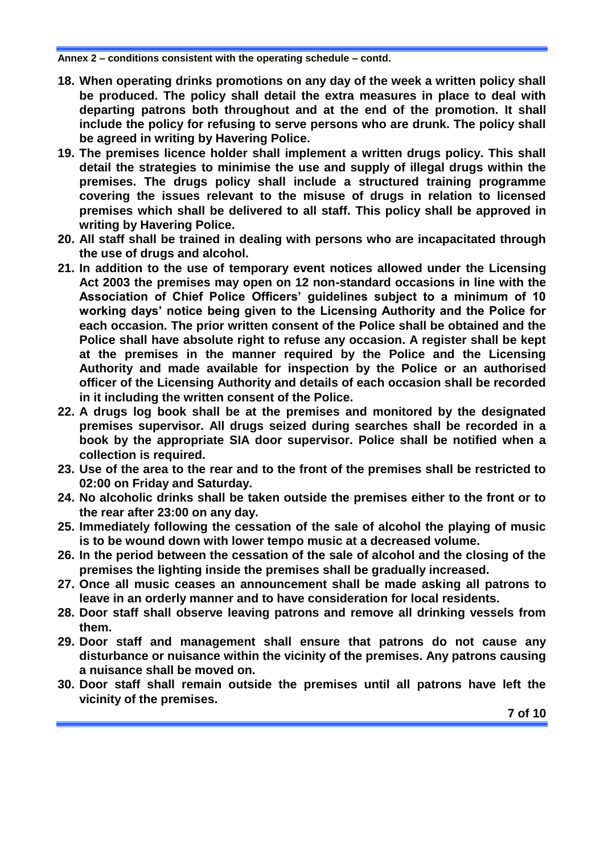- **18. When operating drinks promotions on any day of the week a written policy shall be produced. The policy shall detail the extra measures in place to deal with departing patrons both throughout and at the end of the promotion. It shall include the policy for refusing to serve persons who are drunk. The policy shall be agreed in writing by Havering Police.**
- **19. The premises licence holder shall implement a written drugs policy. This shall detail the strategies to minimise the use and supply of illegal drugs within the premises. The drugs policy shall include a structured training programme covering the issues relevant to the misuse of drugs in relation to licensed premises which shall be delivered to all staff. This policy shall be approved in writing by Havering Police.**
- **20. All staff shall be trained in dealing with persons who are incapacitated through the use of drugs and alcohol.**
- **21. In addition to the use of temporary event notices allowed under the Licensing Act 2003 the premises may open on 12 non-standard occasions in line with the Association of Chief Police Officers' guidelines subject to a minimum of 10 working days' notice being given to the Licensing Authority and the Police for each occasion. The prior written consent of the Police shall be obtained and the Police shall have absolute right to refuse any occasion. A register shall be kept at the premises in the manner required by the Police and the Licensing Authority and made available for inspection by the Police or an authorised officer of the Licensing Authority and details of each occasion shall be recorded in it including the written consent of the Police.**
- **22. A drugs log book shall be at the premises and monitored by the designated premises supervisor. All drugs seized during searches shall be recorded in a book by the appropriate SIA door supervisor. Police shall be notified when a collection is required.**
- **23. Use of the area to the rear and to the front of the premises shall be restricted to 02:00 on Friday and Saturday.**
- **24. No alcoholic drinks shall be taken outside the premises either to the front or to the rear after 23:00 on any day.**
- **25. Immediately following the cessation of the sale of alcohol the playing of music is to be wound down with lower tempo music at a decreased volume.**
- **26. In the period between the cessation of the sale of alcohol and the closing of the premises the lighting inside the premises shall be gradually increased.**
- **27. Once all music ceases an announcement shall be made asking all patrons to leave in an orderly manner and to have consideration for local residents.**
- **28. Door staff shall observe leaving patrons and remove all drinking vessels from them.**
- **29. Door staff and management shall ensure that patrons do not cause any disturbance or nuisance within the vicinity of the premises. Any patrons causing a nuisance shall be moved on.**
- **30. Door staff shall remain outside the premises until all patrons have left the vicinity of the premises.**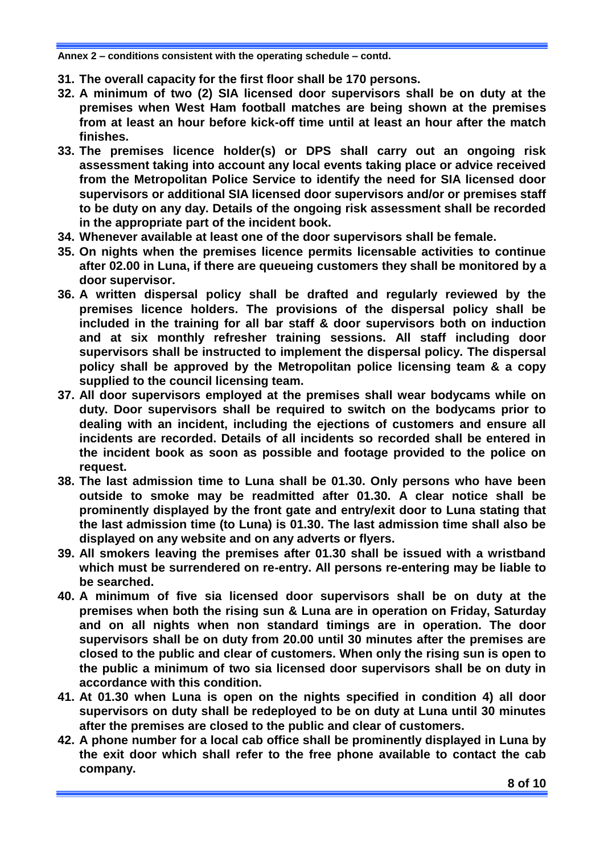- **31. The overall capacity for the first floor shall be 170 persons.**
- **32. A minimum of two (2) SIA licensed door supervisors shall be on duty at the premises when West Ham football matches are being shown at the premises from at least an hour before kick-off time until at least an hour after the match finishes.**
- **33. The premises licence holder(s) or DPS shall carry out an ongoing risk assessment taking into account any local events taking place or advice received from the Metropolitan Police Service to identify the need for SIA licensed door supervisors or additional SIA licensed door supervisors and/or or premises staff to be duty on any day. Details of the ongoing risk assessment shall be recorded in the appropriate part of the incident book.**
- **34. Whenever available at least one of the door supervisors shall be female.**
- **35. On nights when the premises licence permits licensable activities to continue after 02.00 in Luna, if there are queueing customers they shall be monitored by a door supervisor.**
- **36. A written dispersal policy shall be drafted and regularly reviewed by the premises licence holders. The provisions of the dispersal policy shall be included in the training for all bar staff & door supervisors both on induction and at six monthly refresher training sessions. All staff including door supervisors shall be instructed to implement the dispersal policy. The dispersal policy shall be approved by the Metropolitan police licensing team & a copy supplied to the council licensing team.**
- **37. All door supervisors employed at the premises shall wear bodycams while on duty. Door supervisors shall be required to switch on the bodycams prior to dealing with an incident, including the ejections of customers and ensure all incidents are recorded. Details of all incidents so recorded shall be entered in the incident book as soon as possible and footage provided to the police on request.**
- **38. The last admission time to Luna shall be 01.30. Only persons who have been outside to smoke may be readmitted after 01.30. A clear notice shall be prominently displayed by the front gate and entry/exit door to Luna stating that the last admission time (to Luna) is 01.30. The last admission time shall also be displayed on any website and on any adverts or flyers.**
- **39. All smokers leaving the premises after 01.30 shall be issued with a wristband which must be surrendered on re-entry. All persons re-entering may be liable to be searched.**
- **40. A minimum of five sia licensed door supervisors shall be on duty at the premises when both the rising sun & Luna are in operation on Friday, Saturday and on all nights when non standard timings are in operation. The door supervisors shall be on duty from 20.00 until 30 minutes after the premises are closed to the public and clear of customers. When only the rising sun is open to the public a minimum of two sia licensed door supervisors shall be on duty in accordance with this condition.**
- **41. At 01.30 when Luna is open on the nights specified in condition 4) all door supervisors on duty shall be redeployed to be on duty at Luna until 30 minutes after the premises are closed to the public and clear of customers.**
- **42. A phone number for a local cab office shall be prominently displayed in Luna by the exit door which shall refer to the free phone available to contact the cab company.**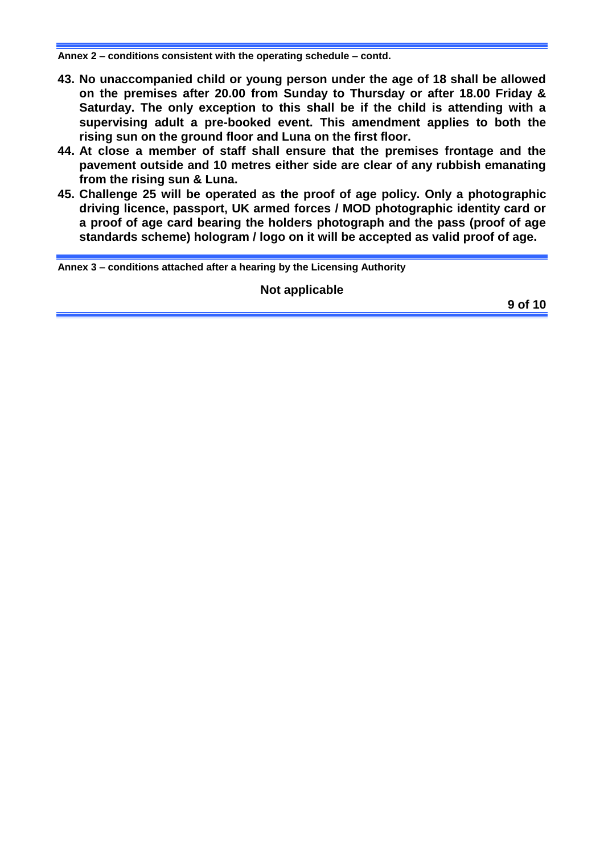- **43. No unaccompanied child or young person under the age of 18 shall be allowed on the premises after 20.00 from Sunday to Thursday or after 18.00 Friday & Saturday. The only exception to this shall be if the child is attending with a supervising adult a pre-booked event. This amendment applies to both the rising sun on the ground floor and Luna on the first floor.**
- **44. At close a member of staff shall ensure that the premises frontage and the pavement outside and 10 metres either side are clear of any rubbish emanating from the rising sun & Luna.**
- **45. Challenge 25 will be operated as the proof of age policy. Only a photographic driving licence, passport, UK armed forces / MOD photographic identity card or a proof of age card bearing the holders photograph and the pass (proof of age standards scheme) hologram / logo on it will be accepted as valid proof of age.**

**Annex 3 – conditions attached after a hearing by the Licensing Authority**

**Not applicable**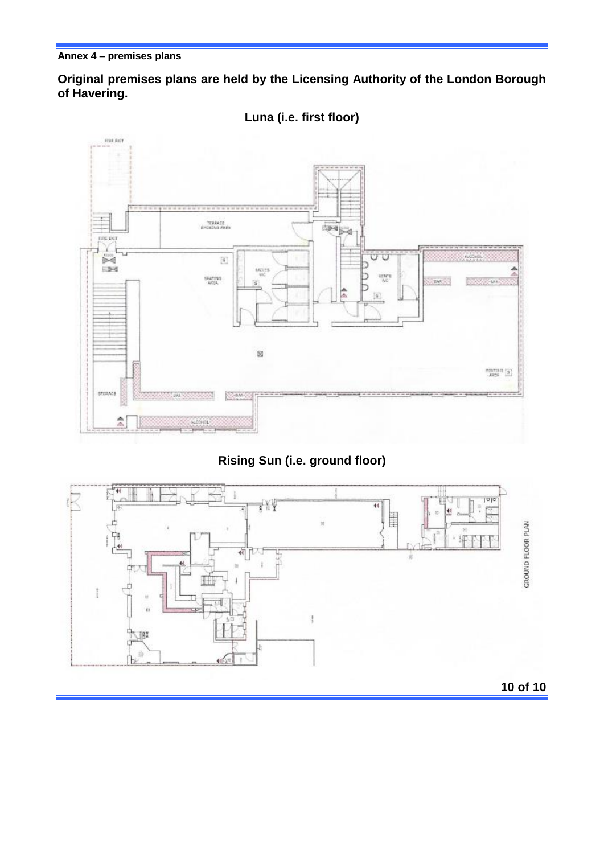**Original premises plans are held by the Licensing Authority of the London Borough of Havering.**



**Luna (i.e. first floor)**

# **Rising Sun (i.e. ground floor)**



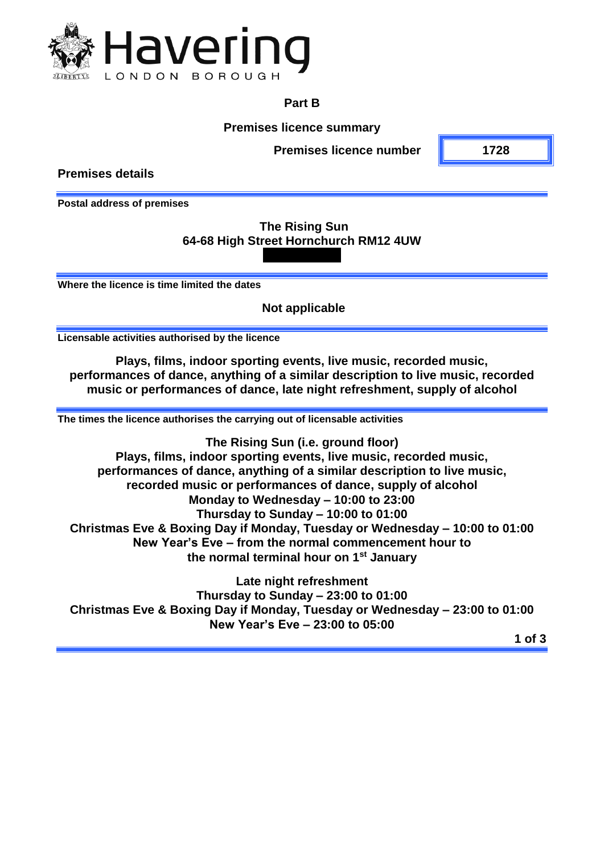

### **Part B**

**Premises licence summary**

**Premises licence number 1728**

**Premises details**

**Postal address of premises**

## **The Rising Sun 64-68 High Street Hornchurch RM12 4UW**

**Where the licence is time limited the dates**

**Not applicable**

**Licensable activities authorised by the licence**

**Plays, films, indoor sporting events, live music, recorded music, performances of dance, anything of a similar description to live music, recorded music or performances of dance, late night refreshment, supply of alcohol**

**The times the licence authorises the carrying out of licensable activities**

**The Rising Sun (i.e. ground floor) Plays, films, indoor sporting events, live music, recorded music, performances of dance, anything of a similar description to live music, recorded music or performances of dance, supply of alcohol Monday to Wednesday – 10:00 to 23:00 Thursday to Sunday – 10:00 to 01:00 Christmas Eve & Boxing Day if Monday, Tuesday or Wednesday – 10:00 to 01:00 New Year's Eve – from the normal commencement hour to the normal terminal hour on 1st January** 

**Late night refreshment Thursday to Sunday – 23:00 to 01:00 Christmas Eve & Boxing Day if Monday, Tuesday or Wednesday – 23:00 to 01:00 New Year's Eve – 23:00 to 05:00**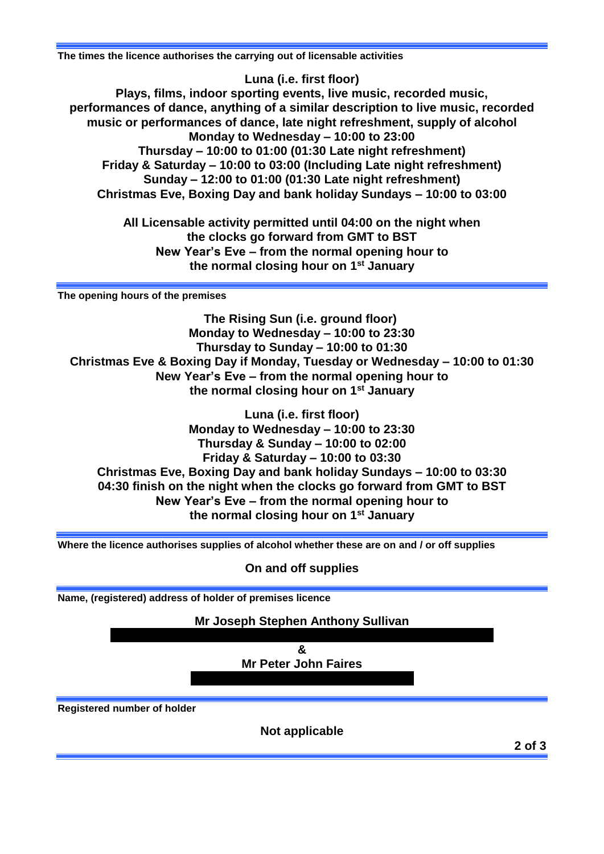**The times the licence authorises the carrying out of licensable activities**

**Luna (i.e. first floor) Plays, films, indoor sporting events, live music, recorded music, performances of dance, anything of a similar description to live music, recorded music or performances of dance, late night refreshment, supply of alcohol Monday to Wednesday – 10:00 to 23:00 Thursday – 10:00 to 01:00 (01:30 Late night refreshment) Friday & Saturday – 10:00 to 03:00 (Including Late night refreshment) Sunday – 12:00 to 01:00 (01:30 Late night refreshment) Christmas Eve, Boxing Day and bank holiday Sundays – 10:00 to 03:00**

> **All Licensable activity permitted until 04:00 on the night when the clocks go forward from GMT to BST New Year's Eve – from the normal opening hour to the normal closing hour on 1st January**

**The opening hours of the premises**

**The Rising Sun (i.e. ground floor) Monday to Wednesday – 10:00 to 23:30 Thursday to Sunday – 10:00 to 01:30 Christmas Eve & Boxing Day if Monday, Tuesday or Wednesday – 10:00 to 01:30 New Year's Eve – from the normal opening hour to the normal closing hour on 1st January**

**Luna (i.e. first floor) Monday to Wednesday – 10:00 to 23:30 Thursday & Sunday – 10:00 to 02:00 Friday & Saturday – 10:00 to 03:30 Christmas Eve, Boxing Day and bank holiday Sundays – 10:00 to 03:30 04:30 finish on the night when the clocks go forward from GMT to BST New Year's Eve – from the normal opening hour to the normal closing hour on 1st January**

**Where the licence authorises supplies of alcohol whether these are on and / or off supplies**

**On and off supplies**

**Name, (registered) address of holder of premises licence**

**Mr Joseph Stephen Anthony Sullivan**

**& Mr Peter John Faires**

**Registered number of holder**

**Not applicable**